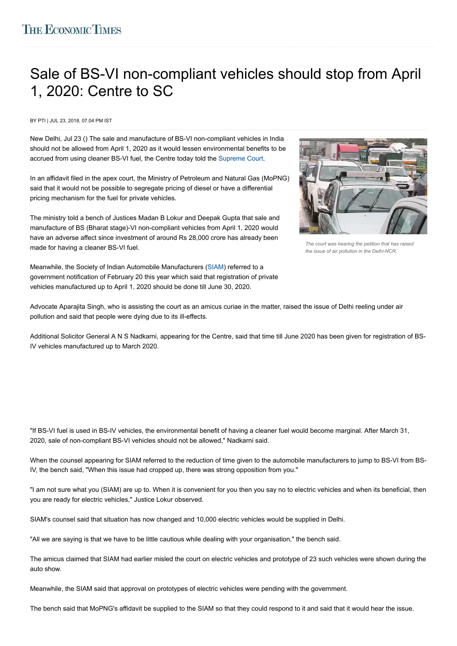## [Sale of](https://economictimes.indiatimes.com/marketstats.cms) [BS-VI n](https://economictimes.indiatimes.com/hindi/indices/sensex_30_companies)[on-com](https://economictimes.indiatimes.com/hindi/indices/nifty_50_companies)[plian](https://economictimes.indiatimes.com/hindi/commoditysummary/symbol-GOLD,language-HIN.cms)t [ve](https://economictimes.indiatimes.com/hindi/commoditysummary/symbol-GOLD,language-HIN.cms)[hicles s](https://economictimes.indiatimes.com/hindi/markets/forex)h[ould s](http://etportfolio.economictimes.indiatimes.com/DashBoard.htm?lang=HIN)top from Apr[il](javascript:;) 1, 2020: Centre to SC

BY PTI | JUL 23, 2018, 07.04 PM IST

New Delhi, Jul 23 () The sale and manufacture of BS-VI non-compliant vehicles in India should not be allowed from April 1, 2020 as it would lessen environmental benefits to be accrued from using cleaner BS-VI fuel, the Centre today told the [Supreme Court.](https://economictimes.indiatimes.com/topic/Supreme-Court)

In an affidavit filed in the apex court, the Ministry of Petroleum and Natural Gas (MoPNG) said that it would not be possible to segregate pricing of diesel or have a differential pricing mechanism for the fuel for private vehicles.

The ministry told a bench of Justices Madan B Lokur and Deepak Gupta that sale and manufacture of BS (Bharat stage)-VI non-compliant vehicles from April 1, 2020 would have an adverse affect since investment of around Rs 28,000 crore has already been made for having a cleaner BS-VI fuel.



*The court was hearing the petition that has raised the issue of air pollution in the Delhi-NCR.*

Meanwhile, the Society of Indian Automobile Manufacturers ([SIAM\)](https://economictimes.indiatimes.com/topic/SIAM) referred to a government notification of February 20 this year which said that registration of private vehicles manufactured up to April 1, 2020 should be done till June 30, 2020.

Advocate Aparajita Singh, who is assisting the court as an amicus curiae in the matter, raised the issue of Delhi reeling under air pollution and said that people were dying due to its ill-effects.

Additional Solicitor General A N S Nadkarni, appearing for the Centre, said that time till June 2020 has been given for registration of BS-IV vehicles manufactured up to March 2020.

"If BS-VI fuel is used in BS-IV vehicles, the environmental benefit of having a cleaner fuel would become marginal. After March 31, 2020, sale of non-compliant BS-VI vehicles should not be allowed," Nadkarni said.

When the counsel appearing for SIAM referred to the reduction of time given to the automobile manufacturers to jump to BS-VI from BS-IV, the bench said, "When this issue had cropped up, there was strong opposition from you."

"I am not sure what you (SIAM) are up to. When it is convenient for you then you say no to electric vehicles and when its beneficial, then you are ready for electric vehicles," Justice Lokur observed.

SIAM's counsel said that situation has now changed and 10,000 electric vehicles would be supplied in Delhi.

"All we are saying is that we have to be little cautious while dealing with your organisation," the bench said.

The amicus claimed that SIAM had earlier misled the court on electric vehicles and prototype of 23 such vehicles were shown during the auto show.

Meanwhile, the SIAM said that approval on prototypes of electric vehicles were pending with the government.

The bench said that MoPNG's affidavit be supplied to the SIAM so that they could respond to it and said that it would hear the issue.